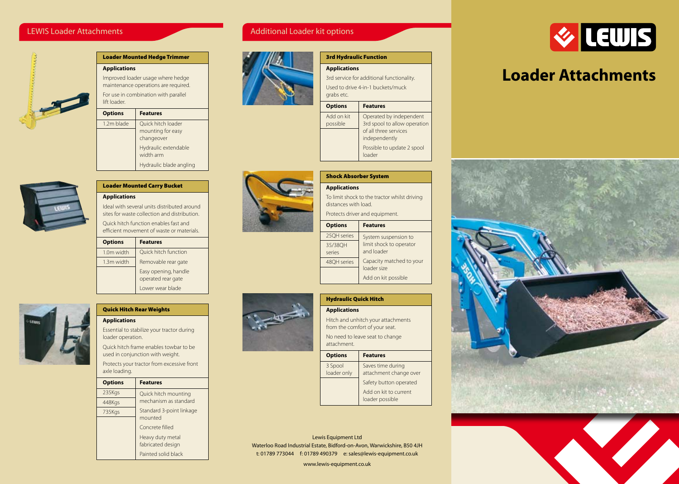# LEWIS Loader Attachments



| <b>Loader Mounted Hedge Trimmer</b>                                       |                                 |
|---------------------------------------------------------------------------|---------------------------------|
| <b>Applications</b>                                                       |                                 |
| Improved loader usage where hedge<br>maintenance operations are required. |                                 |
| For use in combination with parallel<br>lift loader                       |                                 |
| <b>Options</b>                                                            | <b>Features</b>                 |
| 1.2m blade                                                                | Ouick hitch loader              |
|                                                                           | mounting for easy<br>changeover |
|                                                                           | Hydraulic extendable            |
|                                                                           |                                 |

# Additional Loader kit options



| <b>3rd Hydraulic Function</b>                   |                                                                                                   |
|-------------------------------------------------|---------------------------------------------------------------------------------------------------|
| <b>Applications</b>                             |                                                                                                   |
| 3rd service for additional functionality.       |                                                                                                   |
| Used to drive 4-in-1 buckets/muck<br>grabs etc. |                                                                                                   |
| <b>Options</b>                                  | <b>Features</b>                                                                                   |
| Add on kit<br>possible                          | Operated by independent<br>3rd spool to allow operation<br>of all three services<br>independently |
|                                                 | Possible to update 2 spool<br>loader                                                              |



| <b>Applications</b>                                                  |                                         |
|----------------------------------------------------------------------|-----------------------------------------|
| To limit shock to the tractor whilst driving<br>distances with load. |                                         |
| Protects driver and equipment.                                       |                                         |
| <b>Options</b>                                                       | <b>Features</b>                         |
| 25QH series                                                          | System suspension to                    |
| 35/38OH<br>series                                                    | limit shock to operator<br>and loader   |
| 48OH series                                                          | Capacity matched to your<br>loader size |
|                                                                      | Add on kit possible                     |



# Hydraulic Quick Hitch  **Applications** Hitch and unhitch your attachments

 from the comfort of your seat. No need to leave seat to change attachment.

| <b>Options</b> | <b>Features</b>        |
|----------------|------------------------|
| 3 Spool        | Saves time during      |
| loader only    | attachment change over |
|                | Safety button operated |
|                | Add on kit to current  |
|                | loader possible        |

Lewis Equipment Ltd Waterloo Road Industrial Estate, Bidford-on-Avon, Warwickshire, B50 4JH t: 01789 773044 f: 01789 490379 e: sales@lewis-equipment.co.uk

www.lewis-equipment.co.uk



# **Loader Attachments**







# **Applications**

 Ideal with several units distributed around sites for waste collection and distribution.

width arm

Hydraulic blade angling

 Quick hitch function enables fast and efficient movement of waste or materials.

 Loader Mounted Carry Bucket

| <b>Options</b> | <b>Features</b>                            |
|----------------|--------------------------------------------|
| 1.0m width     | Quick hitch function                       |
| 1.3m width     | Removable rear gate                        |
|                | Easy opening, handle<br>operated rear gate |
|                | Lower wear blade                           |



# Quick Hitch Rear Weights

 **Applications**

 axle loading.

 Essential to stabilize your tractor during loader operation.

 Quick hitch frame enables towbar to be used in conjunction with weight. Protects your tractor from excessive front

| <b>Options</b> | <b>Features</b>          |
|----------------|--------------------------|
| 235Kgs         | Quick hitch mounting     |
| 448Kgs         | mechanism as standard    |
| 735Kgs         | Standard 3-point linkage |
|                | mounted                  |
|                | Concrete filled          |
|                | Heavy duty metal         |
|                | fabricated design        |
|                | Painted solid black      |